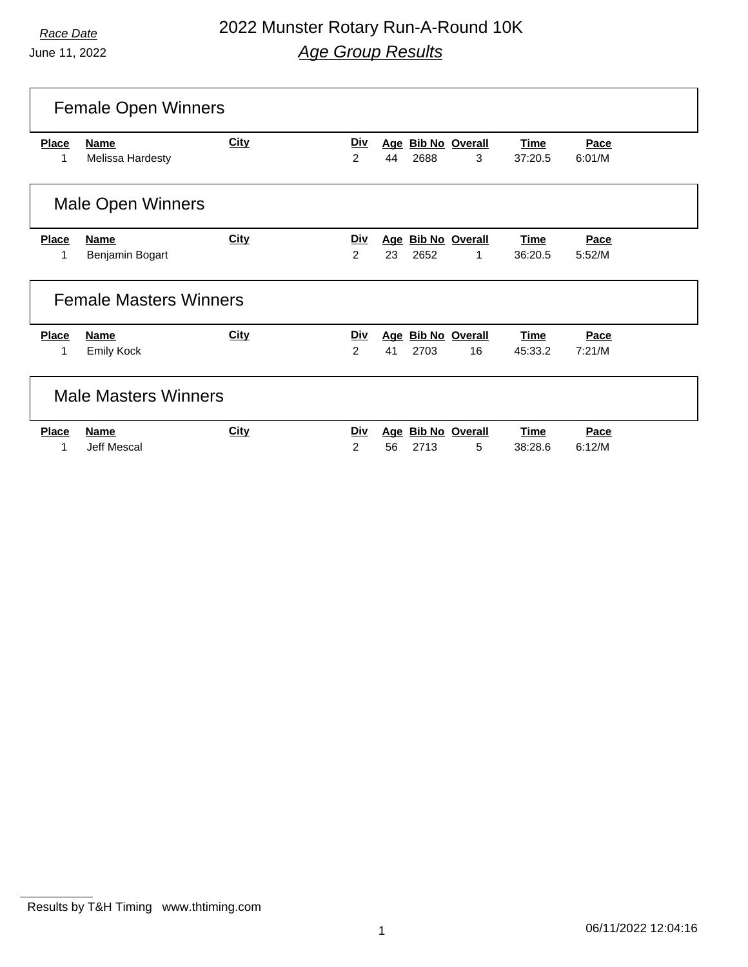# *Race Date* 2022 Munster Rotary Run-A-Round 10K *Age Group Results*

|                   | <b>Female Open Winners</b>      |             |                              |    |      |                         |                 |                |  |
|-------------------|---------------------------------|-------------|------------------------------|----|------|-------------------------|-----------------|----------------|--|
| <b>Place</b><br>1 | <b>Name</b><br>Melissa Hardesty | <b>City</b> | <u>Div</u><br>$\overline{2}$ | 44 | 2688 | Age Bib No Overall<br>3 | Time<br>37:20.5 | Pace<br>6:01/M |  |
|                   | <b>Male Open Winners</b>        |             |                              |    |      |                         |                 |                |  |
| <b>Place</b>      | <b>Name</b>                     | <b>City</b> | <u>Div</u>                   |    |      | Age Bib No Overall      | Time            | Pace           |  |
| 1                 | Benjamin Bogart                 |             | 2                            | 23 | 2652 | 1                       | 36:20.5         | 5:52/M         |  |
|                   | <b>Female Masters Winners</b>   |             |                              |    |      |                         |                 |                |  |
| <b>Place</b>      | Name                            | City        | <u>Div</u>                   |    |      | Age Bib No Overall      | Time            | Pace           |  |
| 1                 | <b>Emily Kock</b>               |             | 2                            | 41 | 2703 | 16                      | 45:33.2         | 7:21/M         |  |
|                   | <b>Male Masters Winners</b>     |             |                              |    |      |                         |                 |                |  |
| <b>Place</b>      | <b>Name</b>                     | City        | <u>Div</u>                   |    |      | Age Bib No Overall      | <b>Time</b>     | Pace           |  |
|                   | <b>Jeff Mescal</b>              |             | $\overline{2}$               | 56 | 2713 | 5                       | 38:28.6         | 6:12/M         |  |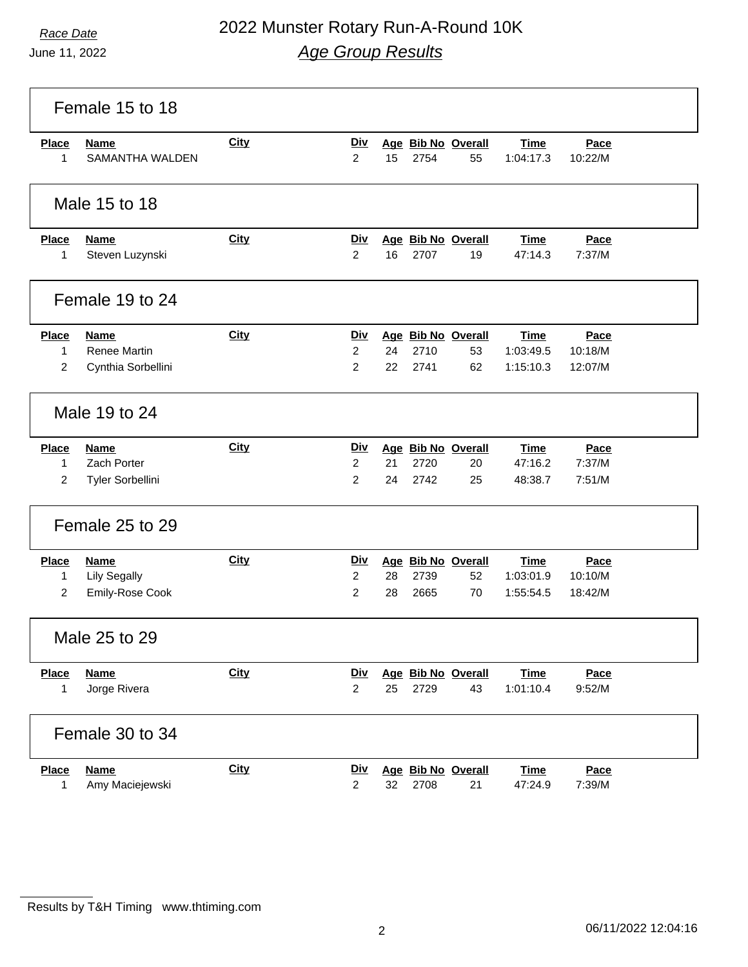# *Race Date* 2022 Munster Rotary Run-A-Round 10K *Age Group Results*

|                                     | Female 15 to 18                                          |             |                                                |          |              |                                |                                       |                            |  |
|-------------------------------------|----------------------------------------------------------|-------------|------------------------------------------------|----------|--------------|--------------------------------|---------------------------------------|----------------------------|--|
| <b>Place</b><br>1                   | <b>Name</b><br><b>SAMANTHA WALDEN</b>                    | <b>City</b> | <u>Div</u><br>$\overline{2}$                   | 15       | 2754         | Age Bib No Overall<br>55       | <b>Time</b><br>1:04:17.3              | Pace<br>10:22/M            |  |
|                                     | Male 15 to 18                                            |             |                                                |          |              |                                |                                       |                            |  |
| <b>Place</b><br>1                   | <b>Name</b><br>Steven Luzynski                           | <b>City</b> | <u>Div</u><br>$\overline{2}$                   | 16       | 2707         | Age Bib No Overall<br>19       | <b>Time</b><br>47:14.3                | Pace<br>7:37/M             |  |
|                                     | Female 19 to 24                                          |             |                                                |          |              |                                |                                       |                            |  |
| <b>Place</b><br>1<br>$\overline{2}$ | <b>Name</b><br><b>Renee Martin</b><br>Cynthia Sorbellini | City        | <b>Div</b><br>$\overline{2}$<br>$\overline{2}$ | 24<br>22 | 2710<br>2741 | Age Bib No Overall<br>53<br>62 | <b>Time</b><br>1:03:49.5<br>1:15:10.3 | Pace<br>10:18/M<br>12:07/M |  |
|                                     | Male 19 to 24                                            |             |                                                |          |              |                                |                                       |                            |  |
| <b>Place</b><br>1<br>$\overline{2}$ | <b>Name</b><br>Zach Porter<br>Tyler Sorbellini           | City        | Div<br>$\overline{c}$<br>$\overline{c}$        | 21<br>24 | 2720<br>2742 | Age Bib No Overall<br>20<br>25 | <b>Time</b><br>47:16.2<br>48:38.7     | Pace<br>7:37/M<br>7:51/M   |  |
|                                     | Female 25 to 29                                          |             |                                                |          |              |                                |                                       |                            |  |
| <b>Place</b><br>1<br>$\overline{2}$ | <b>Name</b><br><b>Lily Segally</b><br>Emily-Rose Cook    | <b>City</b> | <u>Div</u><br>$\overline{2}$<br>$\overline{c}$ | 28<br>28 | 2739<br>2665 | Age Bib No Overall<br>52<br>70 | <b>Time</b><br>1:03:01.9<br>1:55:54.5 | Pace<br>10:10/M<br>18:42/M |  |
|                                     | Male 25 to 29                                            |             |                                                |          |              |                                |                                       |                            |  |
| <b>Place</b><br>1                   | <b>Name</b><br>Jorge Rivera                              | <b>City</b> | <u>Div</u><br>$\overline{2}$                   | 25       | 2729         | Age Bib No Overall<br>43       | <b>Time</b><br>1:01:10.4              | Pace<br>9:52/M             |  |
|                                     | Female 30 to 34                                          |             |                                                |          |              |                                |                                       |                            |  |
| <b>Place</b><br>1                   | <b>Name</b><br>Amy Maciejewski                           | <b>City</b> | <u>Div</u><br>$\overline{2}$                   | 32       | 2708         | Age Bib No Overall<br>21       | <b>Time</b><br>47:24.9                | Pace<br>7:39/M             |  |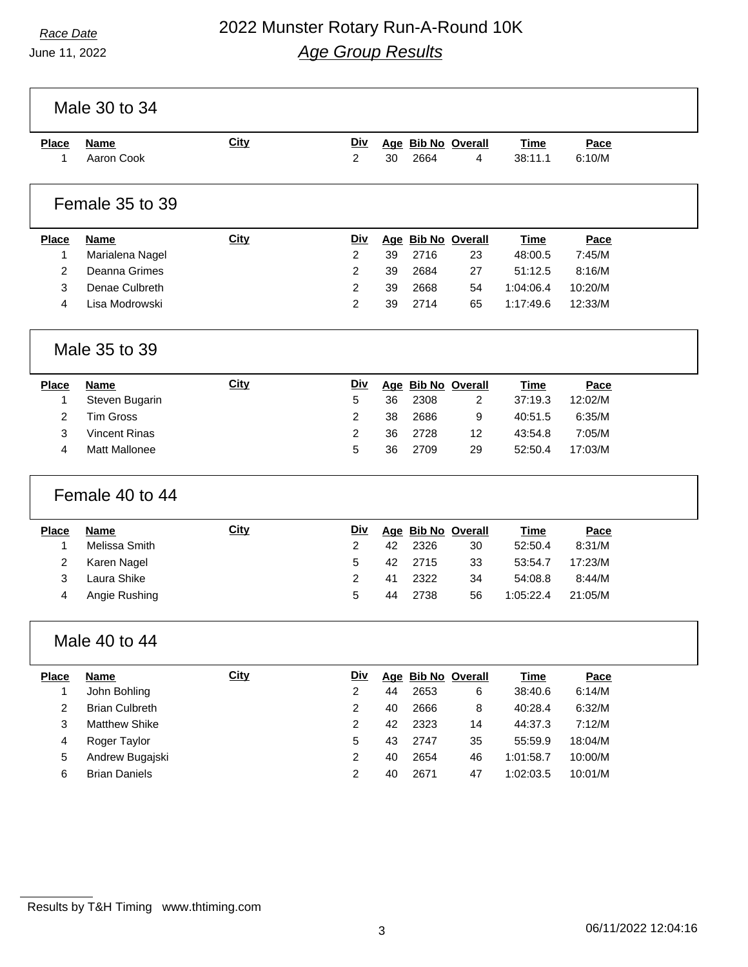### *Race Date* 2022 Munster Rotary Run-A-Round 10K *Age Group Results*

Male 30 to 34 **Place Name City Div Age Bib No Overall Time Pace** Aaron Cook 2 30 2664 4 38:11.1 6:10/M Female 35 to 39 **Place Name City Div Age Bib No Overall Time Pace** Marialena Nagel 2 39 2716 23 48:00.5 7:45/M Deanna Grimes 2 39 2684 27 51:12.5 8:16/M Denae Culbreth 2 39 2668 54 1:04:06.4 10:20/M Lisa Modrowski 2 39 2714 65 1:17:49.6 12:33/M Male 35 to 39 **Place Name City Div Age Bib No Overall Time Pace** Steven Bugarin 5 36 2308 2 37:19.3 12:02/M Tim Gross 2 38 2686 9 40:51.5 6:35/M Vincent Rinas 2 36 2728 12 43:54.8 7:05/M Matt Mallonee 5 36 2709 29 52:50.4 17:03/M Female 40 to 44 **Place Name City Div Age Bib No Overall Time Pace** Melissa Smith 2 42 2326 30 52:50.4 8:31/M Karen Nagel 5 42 2715 33 53:54.7 17:23/M Laura Shike 2 41 2322 34 54:08.8 8:44/M Angie Rushing 5 44 2738 56 1:05:22.4 21:05/M Male 40 to 44 **Place Name City Div Age Bib No Overall Time Pace** John Bohling 2 44 2653 6 38:40.6 6:14/M Brian Culbreth 2 40 2666 8 40:28.4 6:32/M Matthew Shike 2 42 2323 14 44:37.3 7:12/M Roger Taylor 5 43 2747 35 55:59.9 18:04/M Andrew Bugajski 2 40 2654 46 1:01:58.7 10:00/M Brian Daniels 2 40 2671 47 1:02:03.5 10:01/M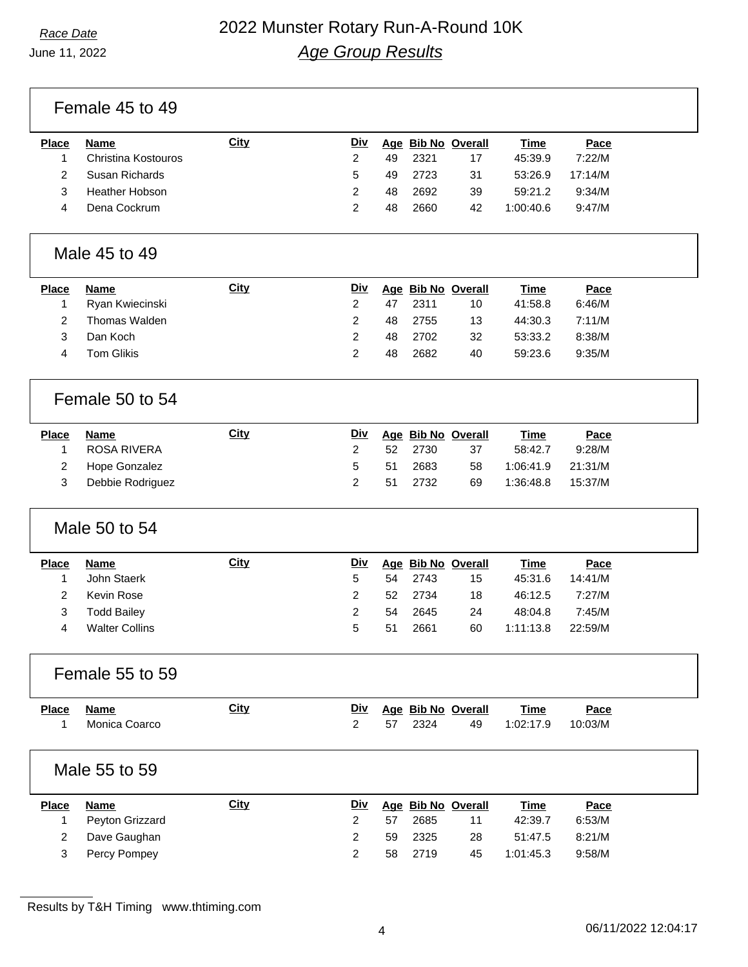Female 45 to 49

| Place | Name                | <u>City</u> | Div |     |      | Age Bib No Overall | <u>Time</u> | Pace    |
|-------|---------------------|-------------|-----|-----|------|--------------------|-------------|---------|
|       | Christina Kostouros |             |     | 49. | 2321 | 17                 | 45:39.9     | 7:22/M  |
|       | Susan Richards      |             | 5   | 49. | 2723 | 31                 | 53:26.9     | 17:14/M |
|       | Heather Hobson      |             |     | 48  | 2692 | 39                 | 59:21.2     | 9:34/M  |
|       | Dena Cockrum        |             |     | 48  | 2660 | 42                 | 1:00:40.6   | 9:47/M  |
|       |                     |             |     |     |      |                    |             |         |

#### Male 45 to 49

| <b>Place</b> | Name            | <b>City</b> | Div |    |      | Age Bib No Overall | <b>Time</b> | Pace   |
|--------------|-----------------|-------------|-----|----|------|--------------------|-------------|--------|
|              | Ryan Kwiecinski |             |     | 47 | 2311 | 10                 | 41:58.8     | 6:46/M |
|              | Thomas Walden   |             |     | 48 | 2755 | 13                 | 44:30.3     | 7:11/M |
|              | Dan Koch        |             |     | 48 | 2702 | 32                 | 53:33.2     | 8:38/M |
|              | Tom Glikis      |             |     | 48 | 2682 | 40                 | 59:23.6     | 9:35/M |
|              |                 |             |     |    |      |                    |             |        |

#### Female 50 to 54

| <b>Place</b> | Name             | City | <u>Div</u> |     |        | Age Bib No Overall | Time      | Pace    |
|--------------|------------------|------|------------|-----|--------|--------------------|-----------|---------|
|              | ROSA RIVERA      |      |            | 52. | - 2730 | 37                 | 58:42.7   | 9:28/M  |
|              | 2 Hope Gonzalez  |      | 5.         | -51 | 2683   | 58                 | 1:06:41.9 | 21:31/M |
|              | Debbie Rodriguez |      |            | .51 | 2732   | 69                 | 1:36:48.8 | 15:37/M |

## Male 50 to 54

| <b>Place</b> | Name                  | <b>City</b> | Div |    |         | Age Bib No Overall | <b>Time</b> | Pace    |
|--------------|-----------------------|-------------|-----|----|---------|--------------------|-------------|---------|
|              | John Staerk           |             | 5   |    | 54 2743 | 15                 | 45:31.6     | 14:41/M |
|              | Kevin Rose            |             |     |    | 52 2734 | 18                 | 46:12.5     | 7:27/M  |
|              | <b>Todd Bailey</b>    |             |     | 54 | 2645    | 24                 | 48:04.8     | 7:45/M  |
|              | <b>Walter Collins</b> |             | 5   | 51 | 2661    | 60                 | 1:11:13.8   | 22:59/M |

| Female 55 to 59 |  |
|-----------------|--|
|                 |  |

| <b>Place</b> | Name          | <u>City</u> |  |         | Div Age Bib No Overall | <b>Time</b> | Pace    |
|--------------|---------------|-------------|--|---------|------------------------|-------------|---------|
|              | Monica Coarco |             |  | 57 2324 | 49                     | 1:02:17.9   | 10:03/M |

#### Male 55 to 59

| <b>Place</b> | Name            | <u>City</u> | <b>Div</b> |    | Age Bib No Overall |    | <u>Time</u> | Pace   |
|--------------|-----------------|-------------|------------|----|--------------------|----|-------------|--------|
|              | Peyton Grizzard |             |            | 57 | 2685               | 11 | 42:39.7     | 6:53/M |
|              | Dave Gaughan    |             |            | 59 | - 2325             | 28 | 51:47.5     | 8:21/M |
|              | Percy Pompey    |             |            | 58 | 2719               | 45 | 1:01:45.3   | 9:58/M |

Results by T&H Timing www.thtiming.com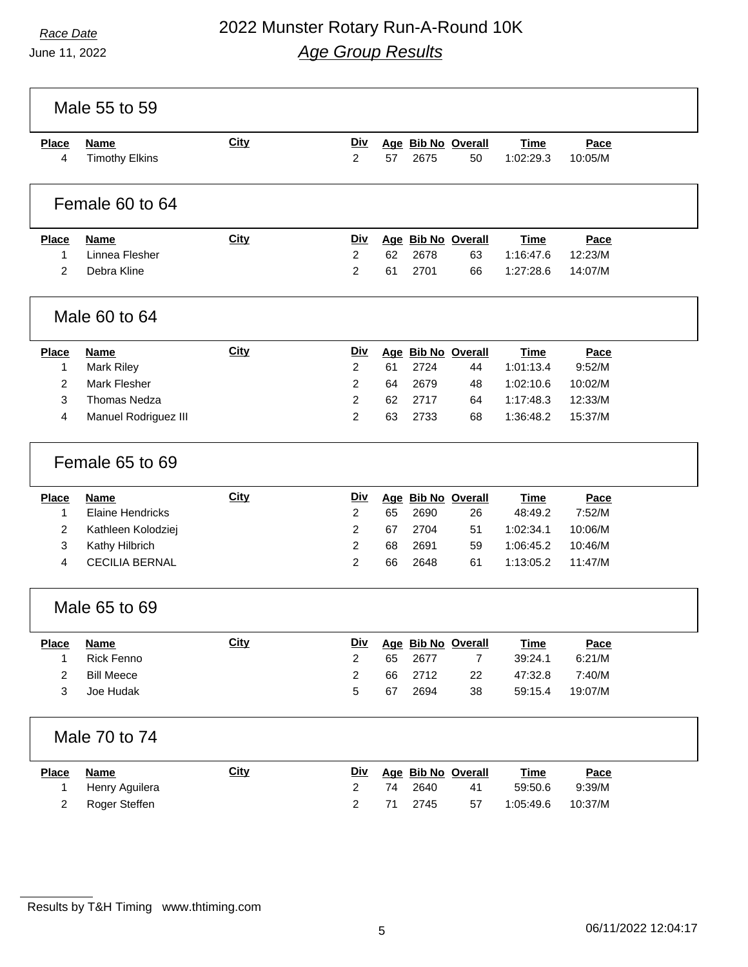|                   | Male 55 to 59                        |             |                              |    |      |                          |                          |                 |  |
|-------------------|--------------------------------------|-------------|------------------------------|----|------|--------------------------|--------------------------|-----------------|--|
| <b>Place</b><br>4 | <b>Name</b><br><b>Timothy Elkins</b> | City        | <b>Div</b><br>$\overline{2}$ | 57 | 2675 | Age Bib No Overall<br>50 | <b>Time</b><br>1:02:29.3 | Pace<br>10:05/M |  |
|                   | Female 60 to 64                      |             |                              |    |      |                          |                          |                 |  |
| <b>Place</b>      | <b>Name</b>                          | <b>City</b> | <b>Div</b>                   |    |      | Age Bib No Overall       | <b>Time</b>              | Pace            |  |
| $\mathbf 1$       | Linnea Flesher                       |             | $\overline{2}$               | 62 | 2678 | 63                       | 1:16:47.6                | 12:23/M         |  |
| 2                 | Debra Kline                          |             | 2                            | 61 | 2701 | 66                       | 1:27:28.6                | 14:07/M         |  |
|                   | Male 60 to 64                        |             |                              |    |      |                          |                          |                 |  |
| <b>Place</b>      | <b>Name</b>                          | City        | <u>Div</u>                   |    |      | Age Bib No Overall       | <b>Time</b>              | Pace            |  |
| $\mathbf 1$       | <b>Mark Riley</b>                    |             | 2                            | 61 | 2724 | 44                       | 1:01:13.4                | 9:52/M          |  |
| $\overline{2}$    | <b>Mark Flesher</b>                  |             | $\overline{2}$               | 64 | 2679 | 48                       | 1:02:10.6                | 10:02/M         |  |
| 3                 | <b>Thomas Nedza</b>                  |             | 2                            | 62 | 2717 | 64                       | 1:17:48.3                | 12:33/M         |  |
| $\overline{4}$    | Manuel Rodriguez III                 |             | $\overline{2}$               | 63 | 2733 | 68                       | 1:36:48.2                | 15:37/M         |  |
|                   | Female 65 to 69                      |             |                              |    |      |                          |                          |                 |  |
| <b>Place</b>      | <b>Name</b>                          | City        | <b>Div</b>                   |    |      | Age Bib No Overall       | <b>Time</b>              | Pace            |  |
| $\mathbf 1$       | <b>Elaine Hendricks</b>              |             | 2                            | 65 | 2690 | 26                       | 48:49.2                  | 7:52/M          |  |
| $\overline{2}$    | Kathleen Kolodziej                   |             | 2                            | 67 | 2704 | 51                       | 1:02:34.1                | 10:06/M         |  |
| 3                 | Kathy Hilbrich                       |             | 2                            | 68 | 2691 | 59                       | 1:06:45.2                | 10:46/M         |  |
| $\overline{4}$    | <b>CECILIA BERNAL</b>                |             | 2                            | 66 | 2648 | 61                       | 1:13:05.2                | 11:47/M         |  |
|                   | Male 65 to 69                        |             |                              |    |      |                          |                          |                 |  |
| <b>Place</b>      | <b>Name</b>                          | <b>City</b> | <b>Div</b>                   |    |      | Age Bib No Overall       | <b>Time</b>              | Pace            |  |
| 1                 | Rick Fenno                           |             | $\overline{2}$               | 65 | 2677 | $\overline{7}$           | 39:24.1                  | 6:21/M          |  |
| $\overline{c}$    | <b>Bill Meece</b>                    |             | $\overline{\mathbf{c}}$      | 66 | 2712 | 22                       | 47:32.8                  | 7:40/M          |  |
| 3                 | Joe Hudak                            |             | 5                            | 67 | 2694 | 38                       | 59:15.4                  | 19:07/M         |  |
|                   | Male 70 to 74                        |             |                              |    |      |                          |                          |                 |  |
| <b>Place</b>      | <b>Name</b>                          | City        | <u>Div</u>                   |    |      | Age Bib No Overall       | <b>Time</b>              | Pace            |  |
| 1                 | Henry Aguilera                       |             | 2                            | 74 | 2640 | 41                       | 59:50.6                  | 9:39/M          |  |
| $\overline{c}$    | Roger Steffen                        |             | $\overline{\mathbf{c}}$      | 71 | 2745 | 57                       | 1:05:49.6                | 10:37/M         |  |
|                   |                                      |             |                              |    |      |                          |                          |                 |  |